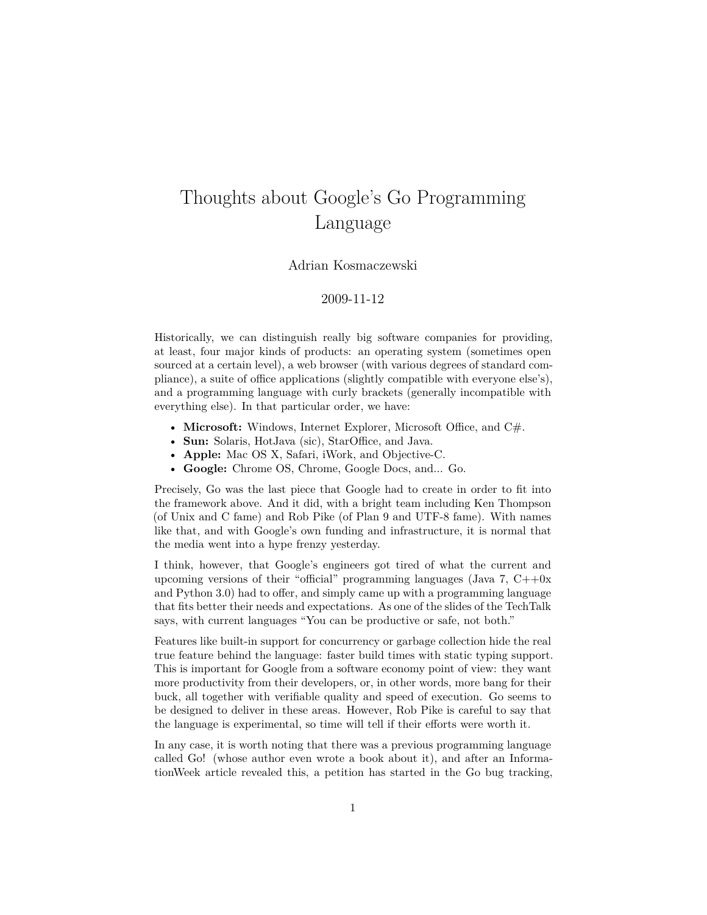## Thoughts about Google's Go Programming Language

## Adrian Kosmaczewski

## 2009-11-12

Historically, we can distinguish really big software companies for providing, at least, four major kinds of products: an operating system (sometimes open sourced at a certain level), a web browser (with various degrees of standard compliance), a suite of office applications (slightly compatible with everyone else's), and a programming language with curly brackets (generally incompatible with everything else). In that particular order, we have:

- **Microsoft:** Windows, Internet Explorer, Microsoft Office, and C#.
- **Sun:** Solaris, HotJava (sic), StarOffice, and Java.
- **Apple:** Mac OS X, Safari, iWork, and Objective-C.
- **Google:** Chrome OS, Chrome, Google Docs, and... Go.

Precisely, [Go](http://golang.org/) was the last piece that Google had to create in order to fit into the framework above. And it did, with a bright team including Ken Thompson (of Unix and C fame) and Rob Pike (of Plan 9 and UTF-8 fame). With names like that, and with Google's own funding and infrastructure, it is normal that the media went into a hype frenzy yesterday.

I think, however, that Google's engineers got tired of what the current and upcoming versions of their "official" programming languages (Java 7,  $C++0x$ and Python 3.0) had to offer, and simply came up with a programming language that fits better their needs and expectations. As [one of the slides](http://golang.org/doc/go_talk-20091030.pdf) of the [TechTalk](http://www.youtube.com/watch?v=rKnDgT73v8s) says, with current languages "You can be productive or safe, not both."

Features like built-in support for concurrency or garbage collection hide the real true feature behind the language: faster build times with static typing support. This is important for Google from a software economy point of view: they want more productivity from their developers, or, in other words, more bang for their buck, all together with verifiable quality and speed of execution. Go seems to be designed to deliver in these areas. However, Rob Pike is careful to say that the language is experimental, so time will tell if their efforts were worth it.

In any case, it is worth noting that there was a [previous programming language](http://en.wikipedia.org/wiki/Go!_(programming_language)) [called Go!](http://en.wikipedia.org/wiki/Go!_(programming_language)) (whose author even wrote a [book about it](http://www.lulu.com/content/paperback-book/lets-go/641689)), and after an [Informa](http://www.informationweek.com/news/software/web_services/showArticle.jhtml?articleID=221601351)[tionWeek article](http://www.informationweek.com/news/software/web_services/showArticle.jhtml?articleID=221601351) revealed this, [a petition has started in the Go bug tracking](http://code.google.com/p/go/issues/detail?id=9),